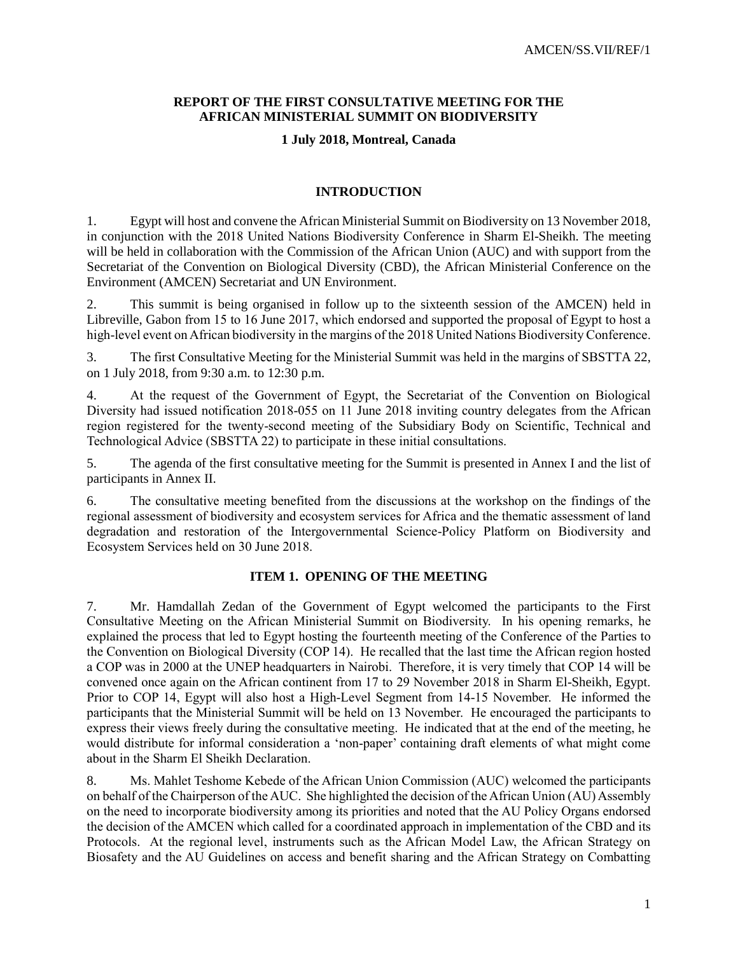## **REPORT OF THE FIRST CONSULTATIVE MEETING FOR THE AFRICAN MINISTERIAL SUMMIT ON BIODIVERSITY**

## **1 July 2018, Montreal, Canada**

## **INTRODUCTION**

1. Egypt will host and convene the African Ministerial Summit on Biodiversity on 13 November 2018, in conjunction with the 2018 United Nations Biodiversity Conference in Sharm El-Sheikh. The meeting will be held in collaboration with the Commission of the African Union (AUC) and with support from the Secretariat of the Convention on Biological Diversity (CBD), the African Ministerial Conference on the Environment (AMCEN) Secretariat and UN Environment.

2. This summit is being organised in follow up to the sixteenth session of the AMCEN) held in Libreville, Gabon from 15 to 16 June 2017, which endorsed and supported the proposal of Egypt to host a high-level event on African biodiversity in the margins of the 2018 United Nations Biodiversity Conference.

3. The first Consultative Meeting for the Ministerial Summit was held in the margins of SBSTTA 22, on 1 July 2018, from 9:30 a.m. to 12:30 p.m.

4. At the request of the Government of Egypt, the Secretariat of the Convention on Biological Diversity had issued notification 2018-055 on 11 June 2018 inviting country delegates from the African region registered for the twenty-second meeting of the Subsidiary Body on Scientific, Technical and Technological Advice (SBSTTA 22) to participate in these initial consultations.

5. The agenda of the first consultative meeting for the Summit is presented in Annex I and the list of participants in Annex II.

6. The consultative meeting benefited from the discussions at the workshop on the findings of the regional assessment of biodiversity and ecosystem services for Africa and the thematic assessment of land degradation and restoration of the Intergovernmental Science-Policy Platform on Biodiversity and Ecosystem Services held on 30 June 2018.

# **ITEM 1. OPENING OF THE MEETING**

7. Mr. Hamdallah Zedan of the Government of Egypt welcomed the participants to the First Consultative Meeting on the African Ministerial Summit on Biodiversity. In his opening remarks, he explained the process that led to Egypt hosting the fourteenth meeting of the Conference of the Parties to the Convention on Biological Diversity (COP 14). He recalled that the last time the African region hosted a COP was in 2000 at the UNEP headquarters in Nairobi. Therefore, it is very timely that COP 14 will be convened once again on the African continent from 17 to 29 November 2018 in Sharm El-Sheikh, Egypt. Prior to COP 14, Egypt will also host a High-Level Segment from 14-15 November. He informed the participants that the Ministerial Summit will be held on 13 November. He encouraged the participants to express their views freely during the consultative meeting. He indicated that at the end of the meeting, he would distribute for informal consideration a 'non-paper' containing draft elements of what might come about in the Sharm El Sheikh Declaration.

8. Ms. Mahlet Teshome Kebede of the African Union Commission (AUC) welcomed the participants on behalf of the Chairperson of the AUC. She highlighted the decision of the African Union (AU) Assembly on the need to incorporate biodiversity among its priorities and noted that the AU Policy Organs endorsed the decision of the AMCEN which called for a coordinated approach in implementation of the CBD and its Protocols. At the regional level, instruments such as the African Model Law, the African Strategy on Biosafety and the AU Guidelines on access and benefit sharing and the African Strategy on Combatting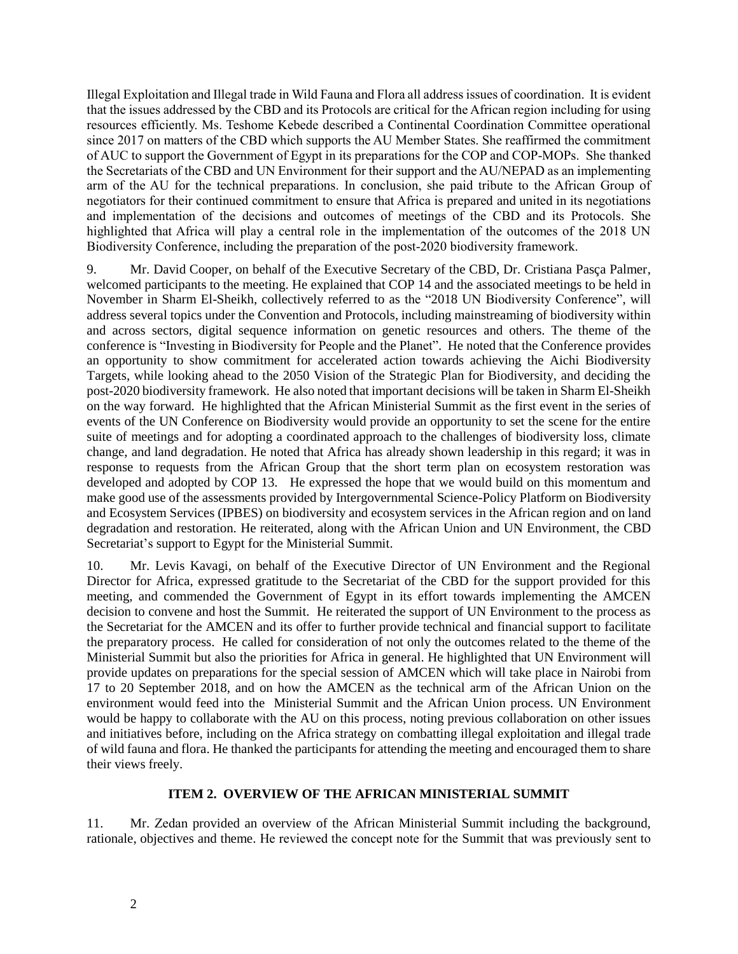Illegal Exploitation and Illegal trade in Wild Fauna and Flora all address issues of coordination. It is evident that the issues addressed by the CBD and its Protocols are critical for the African region including for using resources efficiently. Ms. Teshome Kebede described a Continental Coordination Committee operational since 2017 on matters of the CBD which supports the AU Member States. She reaffirmed the commitment of AUC to support the Government of Egypt in its preparations for the COP and COP-MOPs. She thanked the Secretariats of the CBD and UN Environment for their support and the AU/NEPAD as an implementing arm of the AU for the technical preparations. In conclusion, she paid tribute to the African Group of negotiators for their continued commitment to ensure that Africa is prepared and united in its negotiations and implementation of the decisions and outcomes of meetings of the CBD and its Protocols. She highlighted that Africa will play a central role in the implementation of the outcomes of the 2018 UN Biodiversity Conference, including the preparation of the post-2020 biodiversity framework.

9. Mr. David Cooper, on behalf of the Executive Secretary of the CBD, Dr. Cristiana Pasça Palmer, welcomed participants to the meeting. He explained that COP 14 and the associated meetings to be held in November in Sharm El-Sheikh, collectively referred to as the "2018 UN Biodiversity Conference", will address several topics under the Convention and Protocols, including mainstreaming of biodiversity within and across sectors, digital sequence information on genetic resources and others. The theme of the conference is "Investing in Biodiversity for People and the Planet". He noted that the Conference provides an opportunity to show commitment for accelerated action towards achieving the Aichi Biodiversity Targets, while looking ahead to the 2050 Vision of the Strategic Plan for Biodiversity, and deciding the post-2020 biodiversity framework. He also noted that important decisions will be taken in Sharm El-Sheikh on the way forward. He highlighted that the African Ministerial Summit as the first event in the series of events of the UN Conference on Biodiversity would provide an opportunity to set the scene for the entire suite of meetings and for adopting a coordinated approach to the challenges of biodiversity loss, climate change, and land degradation. He noted that Africa has already shown leadership in this regard; it was in response to requests from the African Group that the short term plan on ecosystem restoration was developed and adopted by COP 13. He expressed the hope that we would build on this momentum and make good use of the assessments provided by Intergovernmental Science-Policy Platform on Biodiversity and Ecosystem Services (IPBES) on biodiversity and ecosystem services in the African region and on land degradation and restoration. He reiterated, along with the African Union and UN Environment, the CBD Secretariat's support to Egypt for the Ministerial Summit.

10. Mr. Levis Kavagi, on behalf of the Executive Director of UN Environment and the Regional Director for Africa, expressed gratitude to the Secretariat of the CBD for the support provided for this meeting, and commended the Government of Egypt in its effort towards implementing the AMCEN decision to convene and host the Summit. He reiterated the support of UN Environment to the process as the Secretariat for the AMCEN and its offer to further provide technical and financial support to facilitate the preparatory process. He called for consideration of not only the outcomes related to the theme of the Ministerial Summit but also the priorities for Africa in general. He highlighted that UN Environment will provide updates on preparations for the special session of AMCEN which will take place in Nairobi from 17 to 20 September 2018, and on how the AMCEN as the technical arm of the African Union on the environment would feed into the Ministerial Summit and the African Union process. UN Environment would be happy to collaborate with the AU on this process, noting previous collaboration on other issues and initiatives before, including on the Africa strategy on combatting illegal exploitation and illegal trade of wild fauna and flora. He thanked the participants for attending the meeting and encouraged them to share their views freely.

## **ITEM 2. OVERVIEW OF THE AFRICAN MINISTERIAL SUMMIT**

11. Mr. Zedan provided an overview of the African Ministerial Summit including the background, rationale, objectives and theme. He reviewed the concept note for the Summit that was previously sent to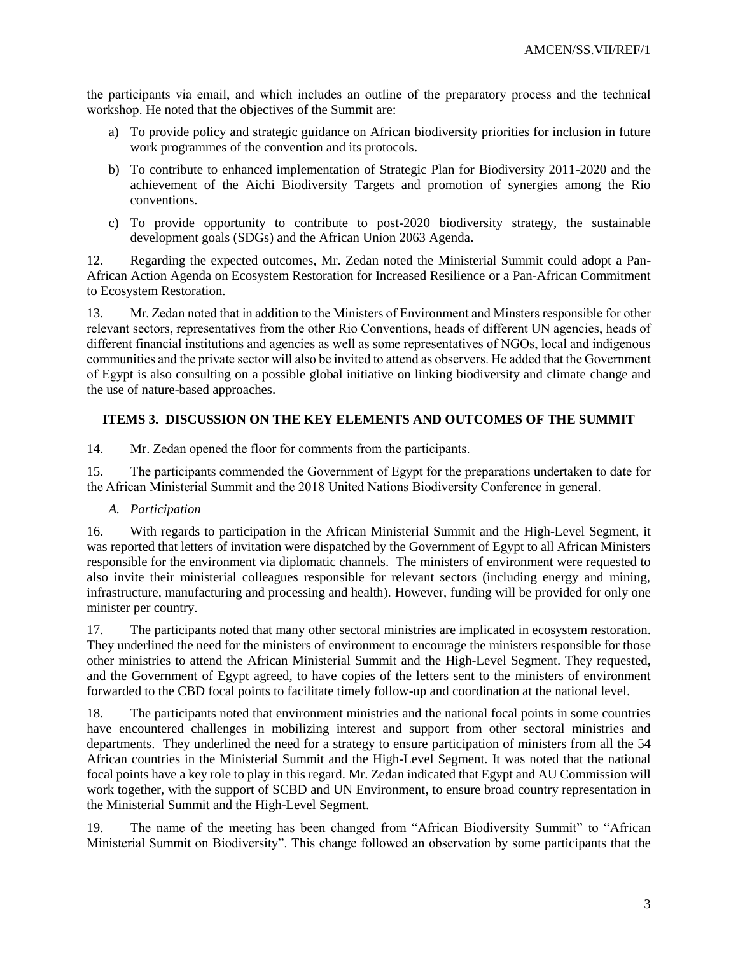the participants via email, and which includes an outline of the preparatory process and the technical workshop. He noted that the objectives of the Summit are:

- a) To provide policy and strategic guidance on African biodiversity priorities for inclusion in future work programmes of the convention and its protocols.
- b) To contribute to enhanced implementation of Strategic Plan for Biodiversity 2011-2020 and the achievement of the Aichi Biodiversity Targets and promotion of synergies among the Rio conventions.
- c) To provide opportunity to contribute to post-2020 biodiversity strategy, the sustainable development goals (SDGs) and the African Union 2063 Agenda.

12. Regarding the expected outcomes, Mr. Zedan noted the Ministerial Summit could adopt a Pan-African Action Agenda on Ecosystem Restoration for Increased Resilience or a Pan-African Commitment to Ecosystem Restoration.

13. Mr. Zedan noted that in addition to the Ministers of Environment and Minsters responsible for other relevant sectors, representatives from the other Rio Conventions, heads of different UN agencies, heads of different financial institutions and agencies as well as some representatives of NGOs, local and indigenous communities and the private sector will also be invited to attend as observers. He added that the Government of Egypt is also consulting on a possible global initiative on linking biodiversity and climate change and the use of nature-based approaches.

# **ITEMS 3. DISCUSSION ON THE KEY ELEMENTS AND OUTCOMES OF THE SUMMIT**

14. Mr. Zedan opened the floor for comments from the participants.

15. The participants commended the Government of Egypt for the preparations undertaken to date for the African Ministerial Summit and the 2018 United Nations Biodiversity Conference in general.

# *A. Participation*

16. With regards to participation in the African Ministerial Summit and the High-Level Segment, it was reported that letters of invitation were dispatched by the Government of Egypt to all African Ministers responsible for the environment via diplomatic channels. The ministers of environment were requested to also invite their ministerial colleagues responsible for relevant sectors (including energy and mining, infrastructure, manufacturing and processing and health). However, funding will be provided for only one minister per country.

17. The participants noted that many other sectoral ministries are implicated in ecosystem restoration. They underlined the need for the ministers of environment to encourage the ministers responsible for those other ministries to attend the African Ministerial Summit and the High-Level Segment. They requested, and the Government of Egypt agreed, to have copies of the letters sent to the ministers of environment forwarded to the CBD focal points to facilitate timely follow-up and coordination at the national level.

18. The participants noted that environment ministries and the national focal points in some countries have encountered challenges in mobilizing interest and support from other sectoral ministries and departments. They underlined the need for a strategy to ensure participation of ministers from all the 54 African countries in the Ministerial Summit and the High-Level Segment. It was noted that the national focal points have a key role to play in this regard. Mr. Zedan indicated that Egypt and AU Commission will work together, with the support of SCBD and UN Environment, to ensure broad country representation in the Ministerial Summit and the High-Level Segment.

19. The name of the meeting has been changed from "African Biodiversity Summit" to "African Ministerial Summit on Biodiversity". This change followed an observation by some participants that the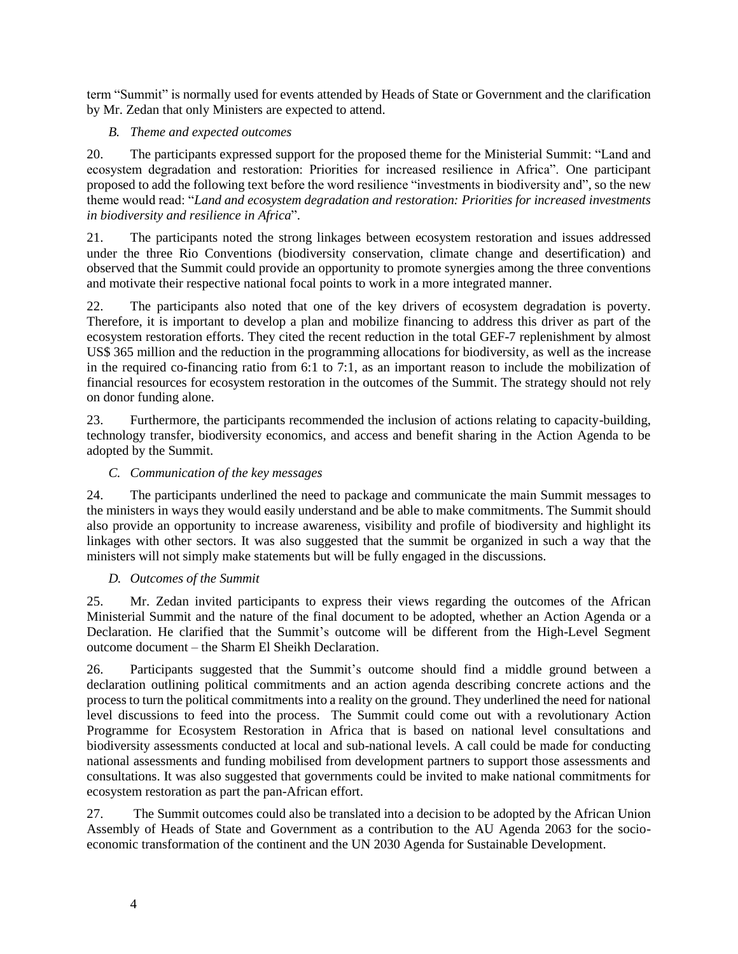term "Summit" is normally used for events attended by Heads of State or Government and the clarification by Mr. Zedan that only Ministers are expected to attend.

# *B. Theme and expected outcomes*

20. The participants expressed support for the proposed theme for the Ministerial Summit: "Land and ecosystem degradation and restoration: Priorities for increased resilience in Africa". One participant proposed to add the following text before the word resilience "investments in biodiversity and", so the new theme would read: "*Land and ecosystem degradation and restoration: Priorities for increased investments in biodiversity and resilience in Africa*".

21. The participants noted the strong linkages between ecosystem restoration and issues addressed under the three Rio Conventions (biodiversity conservation, climate change and desertification) and observed that the Summit could provide an opportunity to promote synergies among the three conventions and motivate their respective national focal points to work in a more integrated manner.

22. The participants also noted that one of the key drivers of ecosystem degradation is poverty. Therefore, it is important to develop a plan and mobilize financing to address this driver as part of the ecosystem restoration efforts. They cited the recent reduction in the total GEF-7 replenishment by almost US\$ 365 million and the reduction in the programming allocations for biodiversity, as well as the increase in the required co-financing ratio from 6:1 to 7:1, as an important reason to include the mobilization of financial resources for ecosystem restoration in the outcomes of the Summit. The strategy should not rely on donor funding alone.

23. Furthermore, the participants recommended the inclusion of actions relating to capacity-building, technology transfer, biodiversity economics, and access and benefit sharing in the Action Agenda to be adopted by the Summit.

## *C. Communication of the key messages*

24. The participants underlined the need to package and communicate the main Summit messages to the ministers in ways they would easily understand and be able to make commitments. The Summit should also provide an opportunity to increase awareness, visibility and profile of biodiversity and highlight its linkages with other sectors. It was also suggested that the summit be organized in such a way that the ministers will not simply make statements but will be fully engaged in the discussions.

## *D. Outcomes of the Summit*

25. Mr. Zedan invited participants to express their views regarding the outcomes of the African Ministerial Summit and the nature of the final document to be adopted, whether an Action Agenda or a Declaration. He clarified that the Summit's outcome will be different from the High-Level Segment outcome document – the Sharm El Sheikh Declaration.

26. Participants suggested that the Summit's outcome should find a middle ground between a declaration outlining political commitments and an action agenda describing concrete actions and the process to turn the political commitments into a reality on the ground. They underlined the need for national level discussions to feed into the process. The Summit could come out with a revolutionary Action Programme for Ecosystem Restoration in Africa that is based on national level consultations and biodiversity assessments conducted at local and sub-national levels. A call could be made for conducting national assessments and funding mobilised from development partners to support those assessments and consultations. It was also suggested that governments could be invited to make national commitments for ecosystem restoration as part the pan-African effort.

27. The Summit outcomes could also be translated into a decision to be adopted by the African Union Assembly of Heads of State and Government as a contribution to the AU Agenda 2063 for the socioeconomic transformation of the continent and the UN 2030 Agenda for Sustainable Development.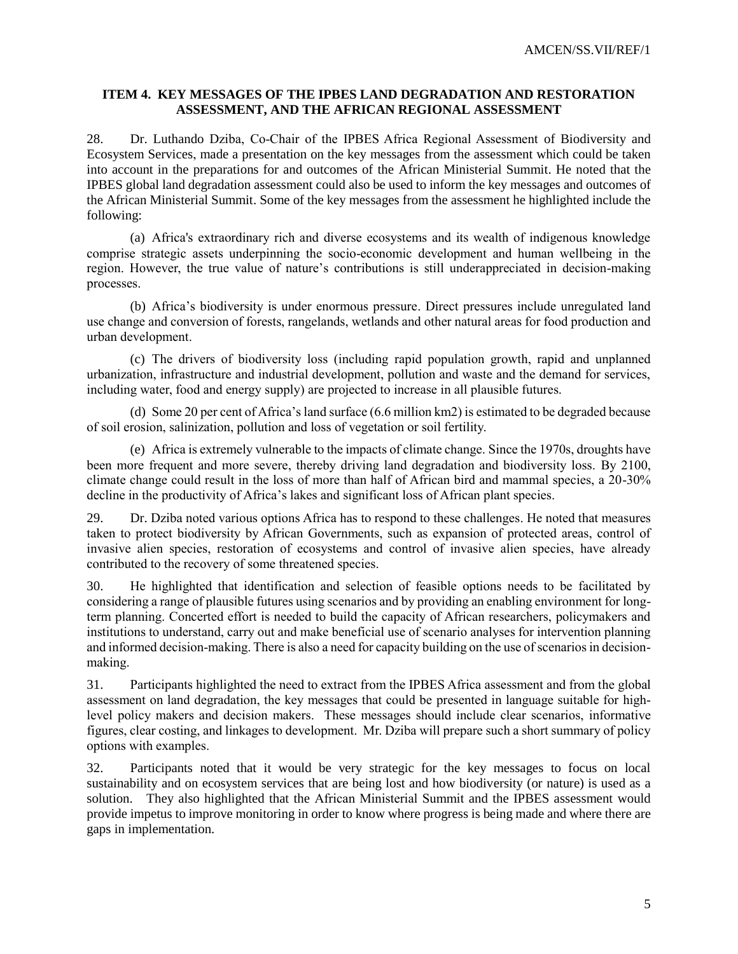## **ITEM 4. KEY MESSAGES OF THE IPBES LAND DEGRADATION AND RESTORATION ASSESSMENT, AND THE AFRICAN REGIONAL ASSESSMENT**

28. Dr. Luthando Dziba, Co-Chair of the IPBES Africa Regional Assessment of Biodiversity and Ecosystem Services, made a presentation on the key messages from the assessment which could be taken into account in the preparations for and outcomes of the African Ministerial Summit. He noted that the IPBES global land degradation assessment could also be used to inform the key messages and outcomes of the African Ministerial Summit. Some of the key messages from the assessment he highlighted include the following:

(a) Africa's extraordinary rich and diverse ecosystems and its wealth of indigenous knowledge comprise strategic assets underpinning the socio-economic development and human wellbeing in the region. However, the true value of nature's contributions is still underappreciated in decision-making processes.

(b) Africa's biodiversity is under enormous pressure. Direct pressures include unregulated land use change and conversion of forests, rangelands, wetlands and other natural areas for food production and urban development.

(c) The drivers of biodiversity loss (including rapid population growth, rapid and unplanned urbanization, infrastructure and industrial development, pollution and waste and the demand for services, including water, food and energy supply) are projected to increase in all plausible futures.

(d) Some 20 per cent of Africa's land surface (6.6 million km2) is estimated to be degraded because of soil erosion, salinization, pollution and loss of vegetation or soil fertility.

(e) Africa is extremely vulnerable to the impacts of climate change. Since the 1970s, droughts have been more frequent and more severe, thereby driving land degradation and biodiversity loss. By 2100, climate change could result in the loss of more than half of African bird and mammal species, a 20-30% decline in the productivity of Africa's lakes and significant loss of African plant species.

29. Dr. Dziba noted various options Africa has to respond to these challenges. He noted that measures taken to protect biodiversity by African Governments, such as expansion of protected areas, control of invasive alien species, restoration of ecosystems and control of invasive alien species, have already contributed to the recovery of some threatened species.

30. He highlighted that identification and selection of feasible options needs to be facilitated by considering a range of plausible futures using scenarios and by providing an enabling environment for longterm planning. Concerted effort is needed to build the capacity of African researchers, policymakers and institutions to understand, carry out and make beneficial use of scenario analyses for intervention planning and informed decision-making. There is also a need for capacity building on the use of scenarios in decisionmaking.

31. Participants highlighted the need to extract from the IPBES Africa assessment and from the global assessment on land degradation, the key messages that could be presented in language suitable for highlevel policy makers and decision makers. These messages should include clear scenarios, informative figures, clear costing, and linkages to development. Mr. Dziba will prepare such a short summary of policy options with examples.

32. Participants noted that it would be very strategic for the key messages to focus on local sustainability and on ecosystem services that are being lost and how biodiversity (or nature) is used as a solution. They also highlighted that the African Ministerial Summit and the IPBES assessment would provide impetus to improve monitoring in order to know where progress is being made and where there are gaps in implementation.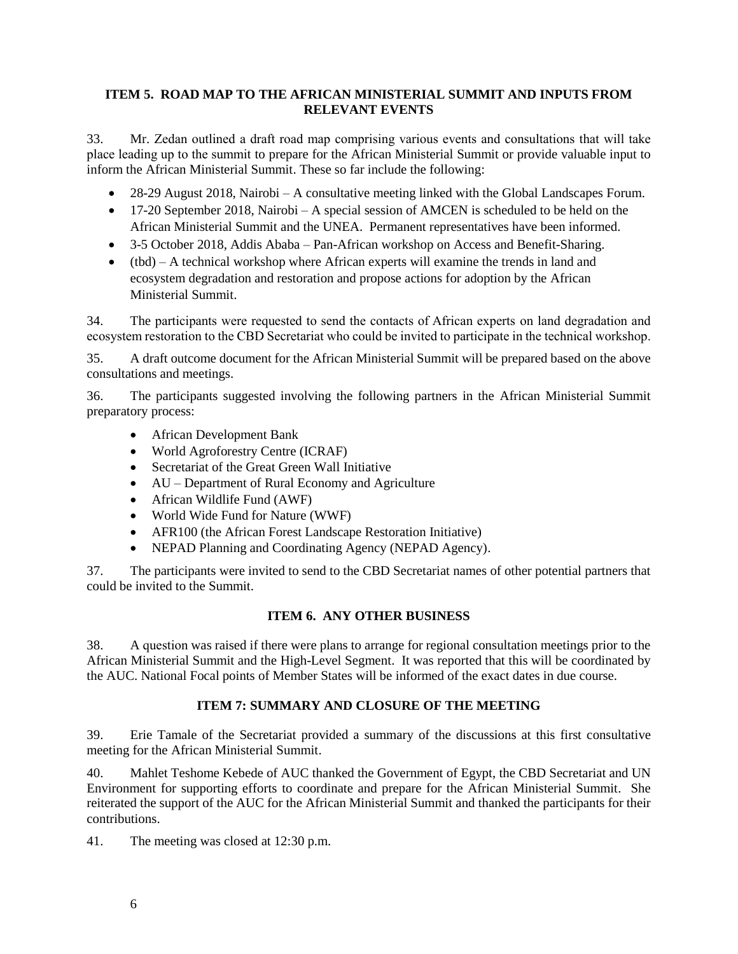## **ITEM 5. ROAD MAP TO THE AFRICAN MINISTERIAL SUMMIT AND INPUTS FROM RELEVANT EVENTS**

33. Mr. Zedan outlined a draft road map comprising various events and consultations that will take place leading up to the summit to prepare for the African Ministerial Summit or provide valuable input to inform the African Ministerial Summit. These so far include the following:

- 28-29 August 2018, Nairobi A consultative meeting linked with the Global Landscapes Forum.
- 17-20 September 2018, Nairobi A special session of AMCEN is scheduled to be held on the African Ministerial Summit and the UNEA. Permanent representatives have been informed.
- 3-5 October 2018, Addis Ababa Pan-African workshop on Access and Benefit-Sharing.
- (tbd) A technical workshop where African experts will examine the trends in land and ecosystem degradation and restoration and propose actions for adoption by the African Ministerial Summit.

34. The participants were requested to send the contacts of African experts on land degradation and ecosystem restoration to the CBD Secretariat who could be invited to participate in the technical workshop.

35. A draft outcome document for the African Ministerial Summit will be prepared based on the above consultations and meetings.

36. The participants suggested involving the following partners in the African Ministerial Summit preparatory process:

- African Development Bank
- World Agroforestry Centre (ICRAF)
- Secretariat of the Great Green Wall Initiative
- AU Department of Rural Economy and Agriculture
- African Wildlife Fund (AWF)
- World Wide Fund for Nature (WWF)
- AFR100 (the African Forest Landscape Restoration Initiative)
- NEPAD Planning and Coordinating Agency (NEPAD Agency).

37. The participants were invited to send to the CBD Secretariat names of other potential partners that could be invited to the Summit.

# **ITEM 6. ANY OTHER BUSINESS**

38. A question was raised if there were plans to arrange for regional consultation meetings prior to the African Ministerial Summit and the High-Level Segment. It was reported that this will be coordinated by the AUC. National Focal points of Member States will be informed of the exact dates in due course.

# **ITEM 7: SUMMARY AND CLOSURE OF THE MEETING**

39. Erie Tamale of the Secretariat provided a summary of the discussions at this first consultative meeting for the African Ministerial Summit.

40. Mahlet Teshome Kebede of AUC thanked the Government of Egypt, the CBD Secretariat and UN Environment for supporting efforts to coordinate and prepare for the African Ministerial Summit. She reiterated the support of the AUC for the African Ministerial Summit and thanked the participants for their contributions.

41. The meeting was closed at 12:30 p.m.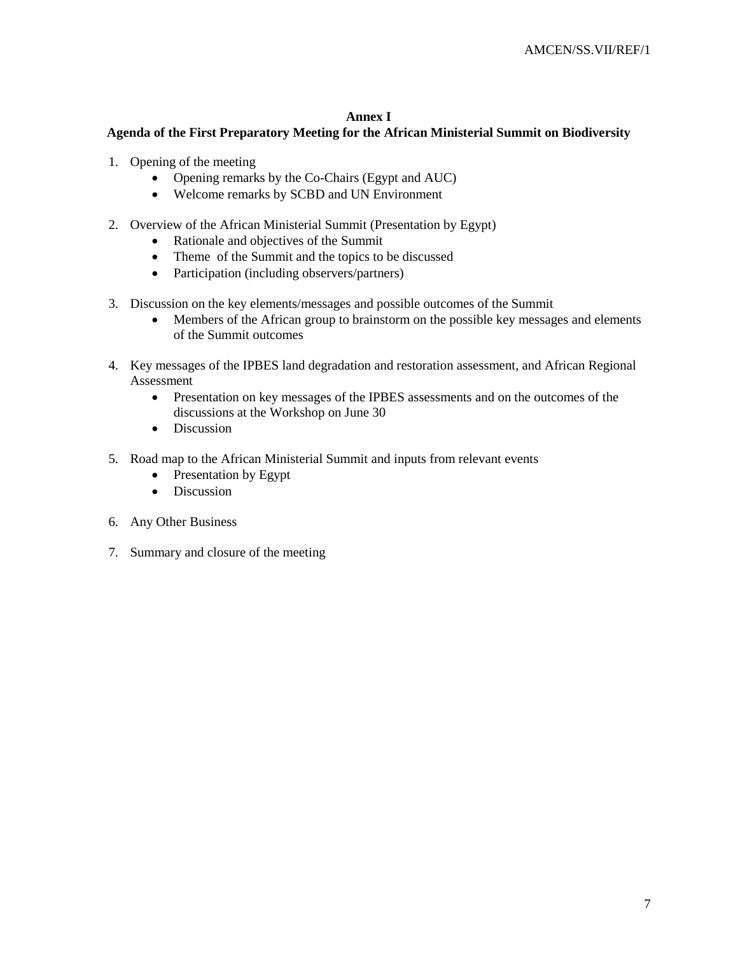## **Annex I**

## **Agenda of the First Preparatory Meeting for the African Ministerial Summit on Biodiversity**

- 1. Opening of the meeting
	- Opening remarks by the Co-Chairs (Egypt and AUC)
	- Welcome remarks by SCBD and UN Environment
- 2. Overview of the African Ministerial Summit (Presentation by Egypt)
	- Rationale and objectives of the Summit
	- Theme of the Summit and the topics to be discussed
	- Participation (including observers/partners)
- 3. Discussion on the key elements/messages and possible outcomes of the Summit
	- Members of the African group to brainstorm on the possible key messages and elements of the Summit outcomes
- 4. Key messages of the IPBES land degradation and restoration assessment, and African Regional Assessment
	- Presentation on key messages of the IPBES assessments and on the outcomes of the discussions at the Workshop on June 30
	- Discussion
- 5. Road map to the African Ministerial Summit and inputs from relevant events
	- Presentation by Egypt
	- Discussion
- 6. Any Other Business
- 7. Summary and closure of the meeting